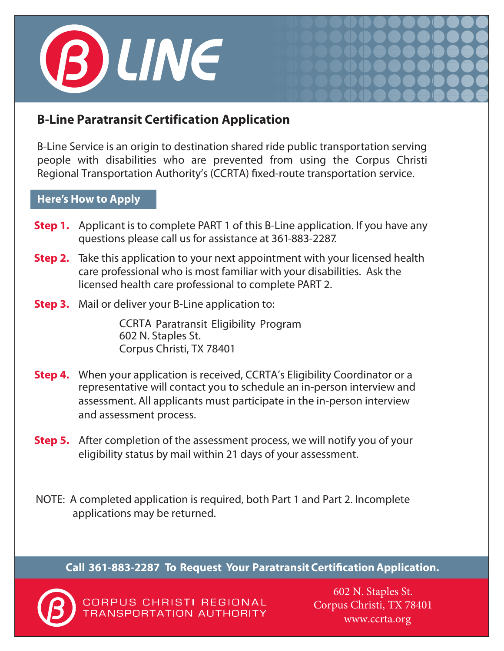

# **B-Line Paratransit Certification Application**

B-Line Service is an origin to destination shared ride public transportation serving people with disabilities who are prevented from using the Corpus Christi Regional Transportation Authority's (CCRTA) fixed-route transportation service.

### **Here's How to Apply**

- **Step 1.** Applicant is to complete PART 1 of this B-Line application. If you have any questions please call us for assistance at 361-883-2287.
- **Step 2.** Take this application to your next appointment with your licensed health care professional who is most familiar with your disabilities. Ask the licensed health care professional to complete PART 2.
- **Step 3.** Mail or deliver your B-Line application to:

CCRTA Paratransit Eligibility Program 602 N. Staples St. Corpus Christi, TX 78401

- **Step 4.** When your application is received, CCRTA's Eligibility Coordinator or a representative will contact you to schedule an in-person interview and assessment. All applicants must participate in the in-person interview and assessment process.
- **Step 5.** After completion of the assessment process, we will notify you of your eligibility status by mail within 21 days of your assessment.
- NOTE: A completed application is required, both Part 1 and Part 2. Incomplete applications may be returned.

**Call 361-883-2287 To Request Your Paratransit CertificationApplication.**



CORPUS CHRISTI REGIONAL **TRANSPORTATION AUTHORITY** 

602 N. Staples St. Corpus Christi, TX 78401 www.ccrta.org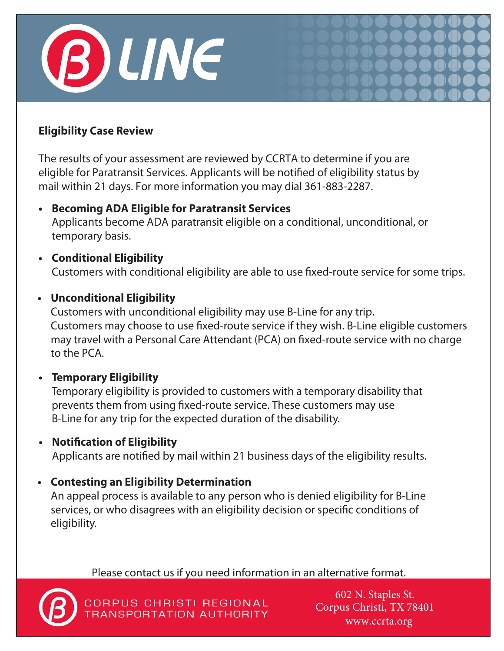

# **Eligibility Case Review**

The results of your assessment are reviewed by CCRTA to determine if you are eligible for Paratransit Services. Applicants will be notified of eligibility status by mail within 21 days. For more information you may dial 361-883-2287.

**• Becoming ADA Eligible for Paratransit Services**

Applicants become ADA paratransit eligible on a conditional, unconditional, or temporary basis.

**• Conditional Eligibility** Customers with conditional eligibility are able to use fixed-route service for some trips.

## **• Unconditional Eligibility**

Customers with unconditional eligibility may use B-Line for any trip. Customers may choose to use fixed-route service if they wish. B-Line eligible customers may travel with a Personal Care Attendant (PCA) on fixed-route service with no charge to the PCA.

**• Temporary Eligibility**

Temporary eligibility is provided to customers with a temporary disability that prevents them from using fixed-route service. These customers may use B-Line for any trip for the expected duration of the disability.

**• Notification of Eligibility**

Applicants are notified by mail within 21 business days of the eligibility results.

# **• Contesting an Eligibility Determination**

An appeal process is available to any person who is denied eligibility for B-Line services, or who disagrees with an eligibility decision or specific conditions of eligibility.

Please contact us if you need information in an alternative format.



CORPUS CHRISTI REGIONAL TRANSPORTATION AUTHORITY

602 N. Staples St. Corpus Christi, TX 78401 www.ccrta.org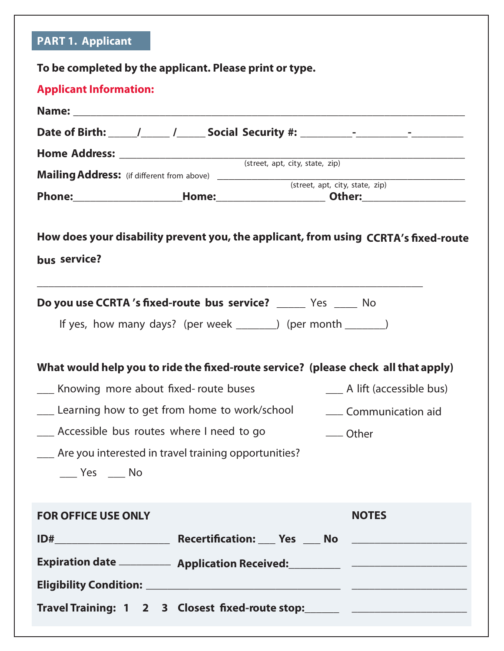|                                                  | <b>Applicant Information:</b>                                 |                                                                                    |
|--------------------------------------------------|---------------------------------------------------------------|------------------------------------------------------------------------------------|
|                                                  |                                                               |                                                                                    |
|                                                  |                                                               |                                                                                    |
|                                                  |                                                               |                                                                                    |
|                                                  |                                                               |                                                                                    |
|                                                  |                                                               |                                                                                    |
|                                                  | Do you use CCRTA's fixed-route bus service? _____ Yes ____ No |                                                                                    |
|                                                  | If yes, how many days? (per week _______) (per month _______) |                                                                                    |
|                                                  |                                                               | What would help you to ride the fixed-route service? (please check all that apply) |
| __ Knowing more about fixed-route buses          |                                                               | ___ A lift (accessible bus)                                                        |
|                                                  | __ Learning how to get from home to work/school               | ____ Communication aid                                                             |
| ___ Accessible bus routes where I need to go     |                                                               | __ Other                                                                           |
|                                                  | Are you interested in travel training opportunities?          |                                                                                    |
| $\rule{1em}{0.15mm}$ Yes $\rule{1em}{0.15mm}$ No |                                                               |                                                                                    |
|                                                  |                                                               | <b>NOTES</b>                                                                       |
| <b>FOR OFFICE USE ONLY</b>                       |                                                               |                                                                                    |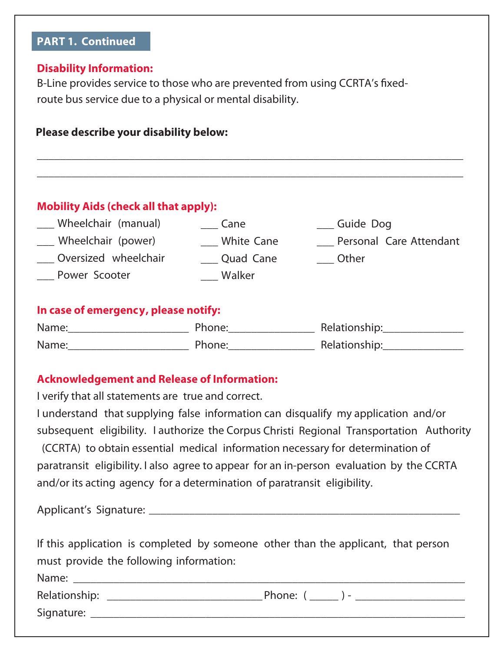# **PART 1. Continued**

#### **Disability Information:**

B-Line provides service to those who are prevented from using CCRTA's fixedroute bus service due to a physical or mental disability.

| Please describe your disability below:        |                     |                                                |  |  |  |  |
|-----------------------------------------------|---------------------|------------------------------------------------|--|--|--|--|
| <b>Mobility Aids (check all that apply):</b>  |                     |                                                |  |  |  |  |
| Wheelchair (manual)<br>___ Wheelchair (power) | Cane<br>White Cane  | Guide Dog<br>Personal Care Attendant           |  |  |  |  |
| Oversized wheelchair<br><b>Power Scooter</b>  | Quad Cane<br>Walker | <b>Other</b>                                   |  |  |  |  |
| In case of emergency, please notify:          |                     |                                                |  |  |  |  |
|                                               |                     |                                                |  |  |  |  |
|                                               |                     | Name: Name: Phone: Relationship: Relationship: |  |  |  |  |

#### **Acknowledgement and Release of Information:**

I verify that all statements are true and correct.

I understand that supplying false information can disqualify my application and/or subsequent eligibility. I authorize the Corpus Christi Regional Transportation Authority (CCRTA) to obtain essential medical information necessary for determination of paratransit eligibility. I also agree to appear for an in-person evaluation by the CCRTA and/or its acting agency for a determination of paratransit eligibility.

Applicant's Signature: \_\_\_\_\_\_\_\_\_\_\_\_\_\_\_\_\_\_\_\_\_\_\_\_\_\_\_\_\_\_\_\_\_\_\_\_\_\_\_\_\_\_\_\_\_\_\_\_\_\_\_\_\_\_

| If this application is completed by someone other than the applicant, that person |  |
|-----------------------------------------------------------------------------------|--|
| must provide the following information:                                           |  |
| Name:                                                                             |  |

Signature:  **\_\_\_\_\_\_\_\_\_\_\_\_\_\_\_\_\_\_\_\_\_\_\_\_\_\_\_\_\_\_\_\_\_\_\_\_\_\_\_\_\_\_\_\_\_\_\_\_\_\_\_\_\_\_\_\_\_\_\_\_\_\_\_\_\_**

Relationship: \_\_\_\_\_\_\_\_\_\_\_\_\_\_\_\_\_\_\_\_\_\_\_\_\_\_\_ Phone: ( \_\_\_\_\_ ) - \_\_\_\_\_\_\_\_\_\_\_\_\_\_\_\_\_\_\_